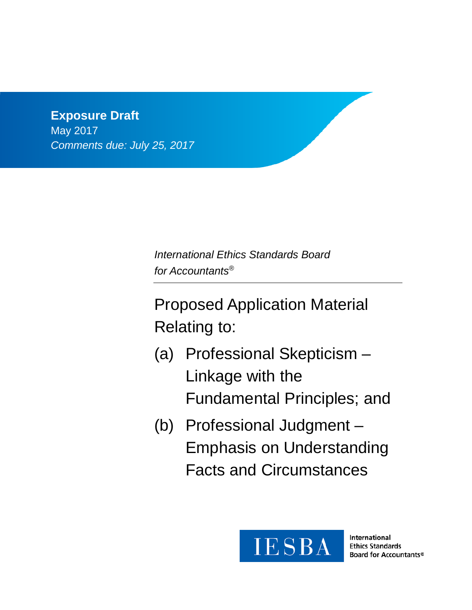# **Exposure Draft** May 2017 *Comments due: July 25, 2017*

*International Ethics Standards Board for Accountants®*

Proposed Application Material Relating to:

- (a) Professional Skepticism Linkage with the Fundamental Principles; and
- (b) Professional Judgment Emphasis on Understanding Facts and Circumstances



International **Ethics Standards** Board for Accountants®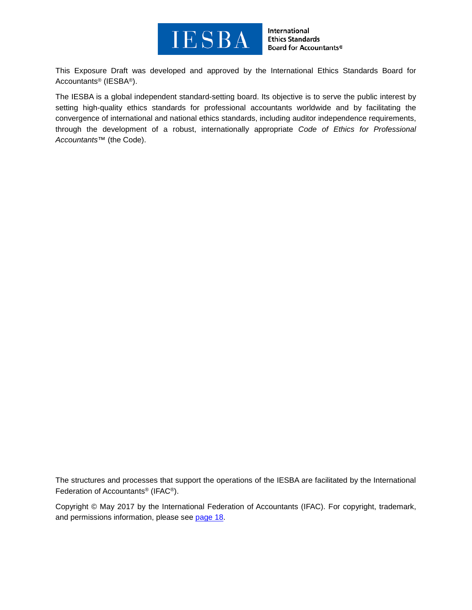

International **Ethics Standards** Board for Accountants®

This Exposure Draft was developed and approved by the [International Ethics Standards Board for](http://www.ifac.org/ethics)  [Accountants®](http://www.ifac.org/ethics) (IESBA®).

The IESBA is a global independent standard-setting board. Its objective is to serve the public interest by setting high-quality ethics standards for professional accountants worldwide and by facilitating the convergence of international and national ethics standards, including auditor independence requirements, through the development of a robust, internationally appropriate *Code of Ethics for Professional Accountants™* (the Code).

The structures and processes that support the operations of the IESBA are facilitated by the International Federation of Accountants® (IFAC®).

Copyright © May 2017 by the International Federation of Accountants (IFAC). For copyright, trademark, and permissions information, please see [page](#page-17-0) 18.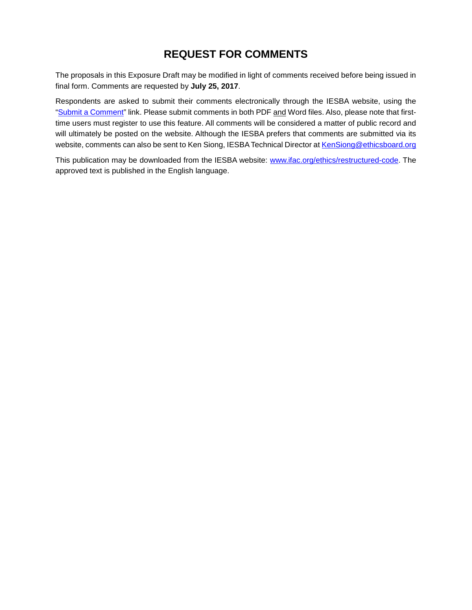## **REQUEST FOR COMMENTS**

The proposals in this Exposure Draft may be modified in light of comments received before being issued in final form. Comments are requested by **July 25, 2017**.

Respondents are asked to submit their comments electronically through the IESBA website, using the ["Submit a Comment"](http://www.ifac.org/publications-resources/proposed-revisions-clarify-applicability-provisions-part-c-extant-code) link. Please submit comments in both PDF and Word files. Also, please note that firsttime users must register to use this feature. All comments will be considered a matter of public record and will ultimately be posted on the website. Although the IESBA prefers that comments are submitted via its website, comments can also be sent to Ken Siong, IESBA Technical Director a[t KenSiong@ethicsboard.org](mailto:KenSiong@ethicsboard.org)

This publication may be downloaded from the IESBA website: [www.ifac.org/ethics/restructured-code.](http://www.ifac.org/ethics/restructured-code) The approved text is published in the English language.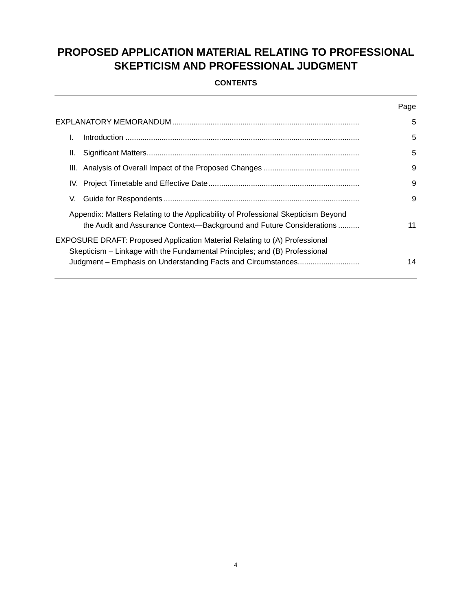# **PROPOSED APPLICATION MATERIAL RELATING TO PROFESSIONAL SKEPTICISM AND PROFESSIONAL JUDGMENT**

### **CONTENTS**

|                                                                                                                                                           | Page |
|-----------------------------------------------------------------------------------------------------------------------------------------------------------|------|
|                                                                                                                                                           | 5    |
|                                                                                                                                                           | 5    |
| н.                                                                                                                                                        | 5    |
|                                                                                                                                                           | 9    |
|                                                                                                                                                           | 9    |
| V.                                                                                                                                                        | 9    |
| Appendix: Matters Relating to the Applicability of Professional Skepticism Beyond<br>the Audit and Assurance Context—Background and Future Considerations | 11   |
| EXPOSURE DRAFT: Proposed Application Material Relating to (A) Professional<br>Skepticism – Linkage with the Fundamental Principles; and (B) Professional  |      |
| Judgment – Emphasis on Understanding Facts and Circumstances                                                                                              | 14   |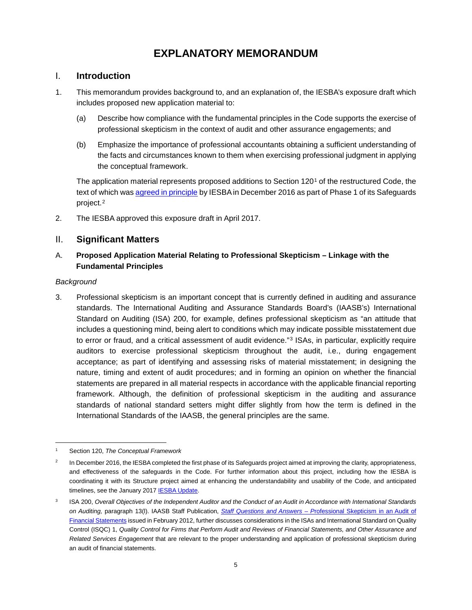# **EXPLANATORY MEMORANDUM**

## <span id="page-4-1"></span><span id="page-4-0"></span>I. **Introduction**

- 1. This memorandum provides background to, and an explanation of, the IESBA's exposure draft which includes proposed new application material to:
	- (a) Describe how compliance with the fundamental principles in the Code supports the exercise of professional skepticism in the context of audit and other assurance engagements; and
	- (b) Emphasize the importance of professional accountants obtaining a sufficient understanding of the facts and circumstances known to them when exercising professional judgment in applying the conceptual framework.

The application material represents proposed additions to Section [1](#page-4-3)20<sup>1</sup> of the restructured Code, the text of which was [agreed in principle](http://www.ifac.org/system/files/publications/files/IESBA-Agreed-In-Principle-Text-Structure-and-Safeguards-Phase-1.pdf) by IESBA in December 2016 as part of Phase 1 of its Safeguards project.[2](#page-4-4)

<span id="page-4-2"></span>2. The IESBA approved this exposure draft in April 2017.

### II. **Significant Matters**

### A. **Proposed Application Material Relating to Professional Skepticism – Linkage with the Fundamental Principles**

#### *Background*

3. Professional skepticism is an important concept that is currently defined in auditing and assurance standards. The International Auditing and Assurance Standards Board's (IAASB's) International Standard on Auditing (ISA) 200, for example, defines professional skepticism as "an attitude that includes a questioning mind, being alert to conditions which may indicate possible misstatement due to error or fraud, and a critical assessment of audit evidence."<sup>[3](#page-4-5)</sup> ISAs, in particular, explicitly require auditors to exercise professional skepticism throughout the audit, i.e., during engagement acceptance; as part of identifying and assessing risks of material misstatement; in designing the nature, timing and extent of audit procedures; and in forming an opinion on whether the financial statements are prepared in all material respects in accordance with the applicable financial reporting framework. Although, the definition of professional skepticism in the auditing and assurance standards of national standard setters might differ slightly from how the term is defined in the International Standards of the IAASB, the general principles are the same.

<span id="page-4-3"></span> $\overline{1}$ Section 120, *The Conceptual Framework*

<span id="page-4-4"></span><sup>2</sup> In December 2016, the IESBA completed the first phase of its Safeguards project aimed at improving the clarity, appropriateness, and effectiveness of the safeguards in the Code. For further information about this project, including how the IESBA is coordinating it with its Structure project aimed at enhancing the understandability and usability of the Code, and anticipated timelines, see the January 2017 **IESBA Update**.

<span id="page-4-5"></span><sup>&</sup>lt;sup>3</sup> ISA 200, Overall Objectives of the Independent Auditor and the Conduct of an Audit in Accordance with International Standards *on Auditing,* paragraph 13(l). IAASB Staff Publication, *Staff Questions and Answers – P*[rofessional Skepticism in an Audit of](http://www.ifac.org/publications-resources/staff-questions-answers-professional-skepticism-audit-financial-statements)  [Financial Statements](http://www.ifac.org/publications-resources/staff-questions-answers-professional-skepticism-audit-financial-statements) issued in February 2012, further discusses considerations in the ISAs and International Standard on Quality Control (ISQC) 1, *Quality Control for Firms that Perform Audit and Reviews of Financial Statements, and Other Assurance and Related Services Engagement* that are relevant to the proper understanding and application of professional skepticism during an audit of financial statements.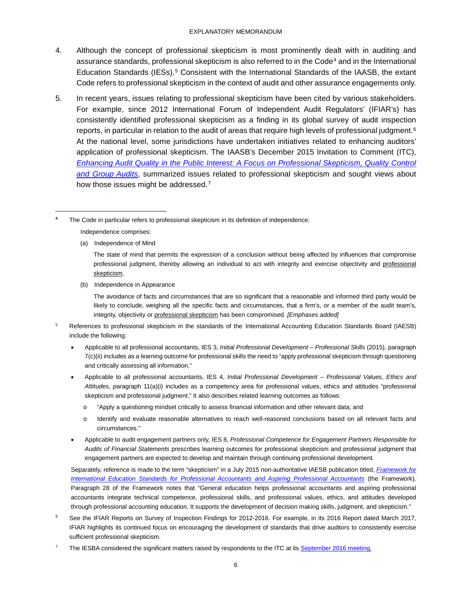#### EXPLANATORY MEMORANDUM

- 4. Although the concept of professional skepticism is most prominently dealt with in auditing and assurance standards, professional skepticism is also referred to in the Code<sup>[4](#page-5-0)</sup> and in the International Education Standards (IESs).<sup>[5](#page-5-1)</sup> Consistent with the International Standards of the IAASB, the extant Code refers to professional skepticism in the context of audit and other assurance engagements only.
- 5. In recent years, issues relating to professional skepticism have been cited by various stakeholders. For example, since 2012 International Forum of Independent Audit Regulators' (IFIAR's) has consistently identified professional skepticism as a finding in its global survey of audit inspection reports, in particular in relation to the audit of areas that require high levels of professional judgment.<sup>[6](#page-5-2)</sup> At the national level, some jurisdictions have undertaken initiatives related to enhancing auditors' application of professional skepticism. The IAASB's December 2015 Invitation to Comment (ITC), *[Enhancing Audit Quality in the Public Interest: A Focus on Professional Skepticism, Quality Control](https://www.ifac.org/publications-resources/invitation-comment-enhancing-audit-quality-public-interest)  [and Group Audits](https://www.ifac.org/publications-resources/invitation-comment-enhancing-audit-quality-public-interest)*, summarized issues related to professional skepticism and sought views about how those issues might be addressed.<sup>[7](#page-5-3)</sup>

(a) Independence of Mind

-

(b) Independence in Appearance

The avoidance of facts and circumstances that are so significant that a reasonable and informed third party would be likely to conclude, weighing all the specific facts and circumstances, that a firm's, or a member of the audit team's, integrity, objectivity or professional skepticism has been compromised. *[Emphases added]*

- <span id="page-5-1"></span>5 References to professional skepticism in the standards of the International Accounting Education Standards Board (IAESB) include the following:
	- Applicable to all professional accountants, IES 3, *Initial Professional Development – Professional Skills* (2015), paragraph 7(c)(ii) includes as a learning outcome for professional skills the need to "apply professional skepticism through questioning and critically assessing all information."
	- Applicable to all professional accountants, IES 4, *Initial Professional Development – Professional Values, Ethics and Attitudes, p*aragraph 11(a)(i) includes as a competency area for professional values, ethics and attitudes "professional skepticism and professional judgment." It also describes related learning outcomes as follows:
		- o "Apply a questioning mindset critically to assess financial information and other relevant data; and
		- o Identify and evaluate reasonable alternatives to reach well-reasoned conclusions based on all relevant facts and circumstances."
	- Applicable to audit engagement partners only, IES 8, *Professional Competence for Engagement Partners Responsible for Audits of Financial Statements* prescribes learning outcomes for professional skepticism and professional judgment that engagement partners are expected to develop and maintain through continuing professional development.

Separately, reference is made to the term "skepticism" in a July 2015 non-authoritative IAESB publication titled, *[Framework for](http://www.ifac.org/publications-resources/framework-international-education-standards-professional-accountants-and)  [International Education Standards for Professional Accountants and Aspiring Professional Accountants](http://www.ifac.org/publications-resources/framework-international-education-standards-professional-accountants-and)* (the Framework). Paragraph 28 of the Framework notes that "General education helps professional accountants and aspiring professional accountants integrate technical competence, professional skills, and professional values, ethics, and attitudes developed through professional accounting education. It supports the development of decision making skills, judgment, and skepticism."

- <span id="page-5-2"></span><sup>6</sup> See the IFIAR Reports on Survey of Inspection Findings for 2012-2016. For example, in its 2016 Report dated March 2017, IFIAR highlights its continued focus on encouraging the development of standards that drive auditors to consistently exercise sufficient professional skepticism.
- <span id="page-5-3"></span>7 The IESBA considered the significant matters raised by respondents to the ITC at its [September 2016 meeting.](http://www.ethicsboard.org/meetings/september-26-30-2016-new-york-usa)

<span id="page-5-0"></span>**<sup>4</sup>** The Code in particular refers to professional skepticism in its definition of independence: Independence comprises:

The state of mind that permits the expression of a conclusion without being affected by influences that compromise professional judgment, thereby allowing an individual to act with integrity and exercise objectivity and professional skepticism.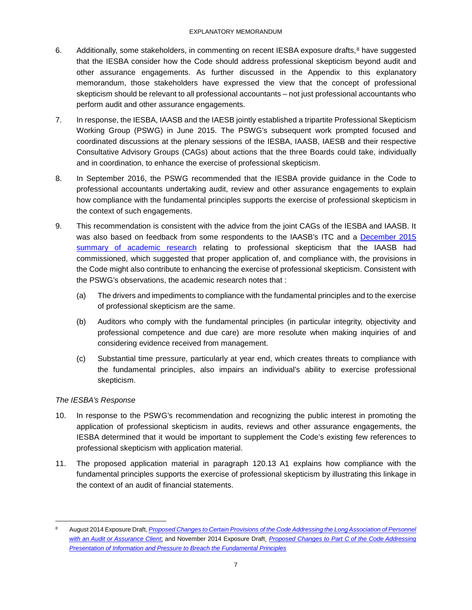- 6. Additionally, some stakeholders, in commenting on recent IESBA exposure drafts,<sup>[8](#page-6-0)</sup> have suggested that the IESBA consider how the Code should address professional skepticism beyond audit and other assurance engagements. As further discussed in the Appendix to this explanatory memorandum, those stakeholders have expressed the view that the concept of professional skepticism should be relevant to all professional accountants – not just professional accountants who perform audit and other assurance engagements.
- 7. In response, the IESBA, IAASB and the IAESB jointly established a tripartite Professional Skepticism Working Group (PSWG) in June 2015. The PSWG's subsequent work prompted focused and coordinated discussions at the plenary sessions of the IESBA, IAASB, IAESB and their respective Consultative Advisory Groups (CAGs) about actions that the three Boards could take, individually and in coordination, to enhance the exercise of professional skepticism.
- 8. In September 2016, the PSWG recommended that the IESBA provide guidance in the Code to professional accountants undertaking audit, review and other assurance engagements to explain how compliance with the fundamental principles supports the exercise of professional skepticism in the context of such engagements.
- 9. This recommendation is consistent with the advice from the joint CAGs of the IESBA and IAASB. It was also based on feedback from some respondents to the IAASB's ITC and a [December 2015](http://www.iaasb.org/system/files/meetings/files/20151207-IAASB-Agenda_Item_7B-Executive-Summary-State_of_Art_Research_Related_to_Auditor_Professional_Skepticism-final_0.pdf)  [summary of academic research](http://www.iaasb.org/system/files/meetings/files/20151207-IAASB-Agenda_Item_7B-Executive-Summary-State_of_Art_Research_Related_to_Auditor_Professional_Skepticism-final_0.pdf) relating to professional skepticism that the IAASB had commissioned, which suggested that proper application of, and compliance with, the provisions in the Code might also contribute to enhancing the exercise of professional skepticism. Consistent with the PSWG's observations, the academic research notes that :
	- (a) The drivers and impediments to compliance with the fundamental principles and to the exercise of professional skepticism are the same.
	- (b) Auditors who comply with the fundamental principles (in particular integrity, objectivity and professional competence and due care) are more resolute when making inquiries of and considering evidence received from management.
	- (c) Substantial time pressure, particularly at year end, which creates threats to compliance with the fundamental principles, also impairs an individual's ability to exercise professional skepticism.

### *The IESBA's Response*

- 10. In response to the PSWG's recommendation and recognizing the public interest in promoting the application of professional skepticism in audits, reviews and other assurance engagements, the IESBA determined that it would be important to supplement the Code's existing few references to professional skepticism with application material.
- 11. The proposed application material in paragraph 120.13 A1 explains how compliance with the fundamental principles supports the exercise of professional skepticism by illustrating this linkage in the context of an audit of financial statements.

<span id="page-6-0"></span><sup>-&</sup>lt;br>8 August 2014 Exposure Draft, *[Proposed Changes to Certain Provisions of the Code Addressing the Long Association of Personnel](https://www.ifac.org/publications-resources/proposed-changes-certain-provisions-code-addressing-long-association-personne)  [with an Audit or Assurance Client](https://www.ifac.org/publications-resources/proposed-changes-certain-provisions-code-addressing-long-association-personne)*; and November 2014 Exposure Draft¸ *[Proposed Changes to Part C of the Code Addressing](https://www.ifac.org/publications-resources/proposed-changes-part-c-code-addressing-presentation-information-and-pressure)  [Presentation of Information and Pressure to Breach the Fundamental Principles](https://www.ifac.org/publications-resources/proposed-changes-part-c-code-addressing-presentation-information-and-pressure)*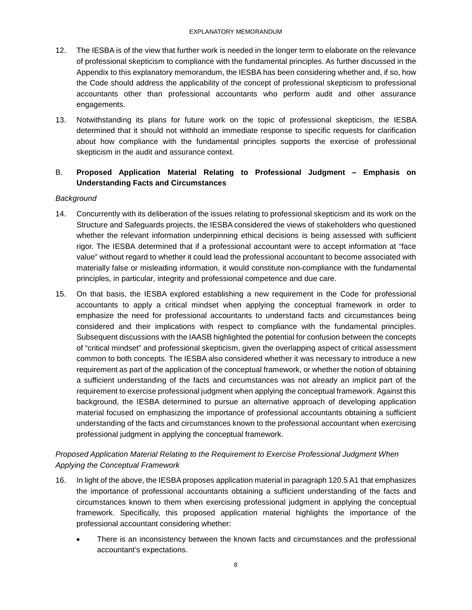- 12. The IESBA is of the view that further work is needed in the longer term to elaborate on the relevance of professional skepticism to compliance with the fundamental principles. As further discussed in the Appendix to this explanatory memorandum, the IESBA has been considering whether and, if so, how the Code should address the applicability of the concept of professional skepticism to professional accountants other than professional accountants who perform audit and other assurance engagements.
- 13. Notwithstanding its plans for future work on the topic of professional skepticism, the IESBA determined that it should not withhold an immediate response to specific requests for clarification about how compliance with the fundamental principles supports the exercise of professional skepticism in the audit and assurance context.

### B. **Proposed Application Material Relating to Professional Judgment – Emphasis on Understanding Facts and Circumstances**

#### *Background*

- 14. Concurrently with its deliberation of the issues relating to professional skepticism and its work on the Structure and Safeguards projects, the IESBA considered the views of stakeholders who questioned whether the relevant information underpinning ethical decisions is being assessed with sufficient rigor. The IESBA determined that if a professional accountant were to accept information at "face value" without regard to whether it could lead the professional accountant to become associated with materially false or misleading information, it would constitute non-compliance with the fundamental principles, in particular, integrity and professional competence and due care.
- 15. On that basis, the IESBA explored establishing a new requirement in the Code for professional accountants to apply a critical mindset when applying the conceptual framework in order to emphasize the need for professional accountants to understand facts and circumstances being considered and their implications with respect to compliance with the fundamental principles. Subsequent discussions with the IAASB highlighted the potential for confusion between the concepts of "critical mindset" and professional skepticism, given the overlapping aspect of critical assessment common to both concepts. The IESBA also considered whether it was necessary to introduce a new requirement as part of the application of the conceptual framework, or whether the notion of obtaining a sufficient understanding of the facts and circumstances was not already an implicit part of the requirement to exercise professional judgment when applying the conceptual framework. Against this background, the IESBA determined to pursue an alternative approach of developing application material focused on emphasizing the importance of professional accountants obtaining a sufficient understanding of the facts and circumstances known to the professional accountant when exercising professional judgment in applying the conceptual framework.

### *Proposed Application Material Relating to the Requirement to Exercise Professional Judgment When Applying the Conceptual Framework*

- 16. In light of the above, the IESBA proposes application material in paragraph 120.5 A1 that emphasizes the importance of professional accountants obtaining a sufficient understanding of the facts and circumstances known to them when exercising professional judgment in applying the conceptual framework. Specifically, this proposed application material highlights the importance of the professional accountant considering whether:
	- There is an inconsistency between the known facts and circumstances and the professional accountant's expectations.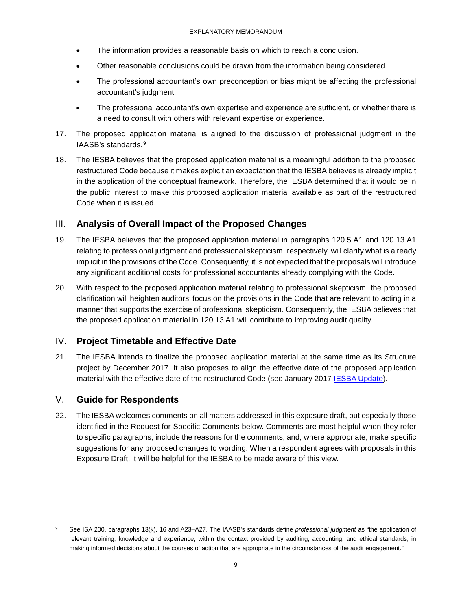- The information provides a reasonable basis on which to reach a conclusion.
- Other reasonable conclusions could be drawn from the information being considered.
- The professional accountant's own preconception or bias might be affecting the professional accountant's judgment.
- The professional accountant's own expertise and experience are sufficient, or whether there is a need to consult with others with relevant expertise or experience.
- 17. The proposed application material is aligned to the discussion of professional judgment in the IAASB's standards.[9](#page-8-3)
- 18. The IESBA believes that the proposed application material is a meaningful addition to the proposed restructured Code because it makes explicit an expectation that the IESBA believes is already implicit in the application of the conceptual framework. Therefore, the IESBA determined that it would be in the public interest to make this proposed application material available as part of the restructured Code when it is issued.

### <span id="page-8-0"></span>III. **Analysis of Overall Impact of the Proposed Changes**

- 19. The IESBA believes that the proposed application material in paragraphs 120.5 A1 and 120.13 A1 relating to professional judgment and professional skepticism, respectively, will clarify what is already implicit in the provisions of the Code. Consequently, it is not expected that the proposals will introduce any significant additional costs for professional accountants already complying with the Code.
- 20. With respect to the proposed application material relating to professional skepticism, the proposed clarification will heighten auditors' focus on the provisions in the Code that are relevant to acting in a manner that supports the exercise of professional skepticism. Consequently, the IESBA believes that the proposed application material in 120.13 A1 will contribute to improving audit quality.

### <span id="page-8-1"></span>IV. **Project Timetable and Effective Date**

21. The IESBA intends to finalize the proposed application material at the same time as its Structure project by December 2017. It also proposes to align the effective date of the proposed application material with the effective date of the restructured Code (see January 2017 [IESBA Update\)](https://www.ifac.org/system/files/publications/files/IESBA-Update-Restructured-Ethics-Code.pdf).

### <span id="page-8-2"></span>V. **Guide for Respondents**

22. The IESBA welcomes comments on all matters addressed in this exposure draft, but especially those identified in the Request for Specific Comments below. Comments are most helpful when they refer to specific paragraphs, include the reasons for the comments, and, where appropriate, make specific suggestions for any proposed changes to wording. When a respondent agrees with proposals in this Exposure Draft, it will be helpful for the IESBA to be made aware of this view.

<span id="page-8-3"></span><sup>-&</sup>lt;br>9 See ISA 200, paragraphs 13(k), 16 and A23–A27. The IAASB's standards define *professional judgment* as "the application of relevant training, knowledge and experience, within the context provided by auditing, accounting, and ethical standards, in making informed decisions about the courses of action that are appropriate in the circumstances of the audit engagement."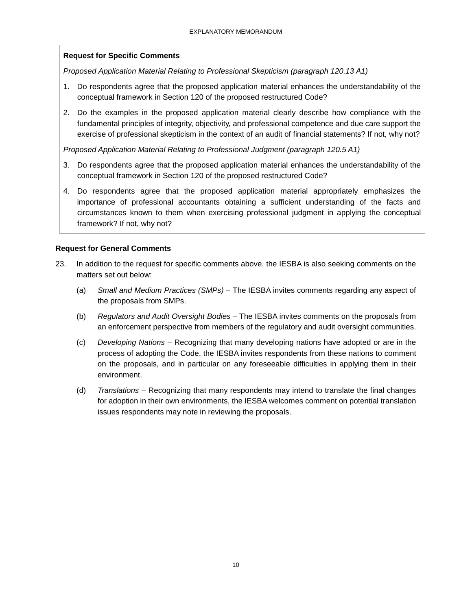### **Request for Specific Comments**

*Proposed Application Material Relating to Professional Skepticism (paragraph 120.13 A1)*

- 1. Do respondents agree that the proposed application material enhances the understandability of the conceptual framework in Section 120 of the proposed restructured Code?
- 2. Do the examples in the proposed application material clearly describe how compliance with the fundamental principles of integrity, objectivity, and professional competence and due care support the exercise of professional skepticism in the context of an audit of financial statements? If not, why not?

*Proposed Application Material Relating to Professional Judgment (paragraph 120.5 A1)*

- 3. Do respondents agree that the proposed application material enhances the understandability of the conceptual framework in Section 120 of the proposed restructured Code?
- 4. Do respondents agree that the proposed application material appropriately emphasizes the importance of professional accountants obtaining a sufficient understanding of the facts and circumstances known to them when exercising professional judgment in applying the conceptual framework? If not, why not?

#### **Request for General Comments**

- 23. In addition to the request for specific comments above, the IESBA is also seeking comments on the matters set out below:
	- (a) *Small and Medium Practices (SMPs) –* The IESBA invites comments regarding any aspect of the proposals from SMPs.
	- (b) *Regulators and Audit Oversight Bodies –* The IESBA invites comments on the proposals from an enforcement perspective from members of the regulatory and audit oversight communities.
	- (c) *Developing Nations –* Recognizing that many developing nations have adopted or are in the process of adopting the Code, the IESBA invites respondents from these nations to comment on the proposals, and in particular on any foreseeable difficulties in applying them in their environment.
	- (d) *Translations –* Recognizing that many respondents may intend to translate the final changes for adoption in their own environments, the IESBA welcomes comment on potential translation issues respondents may note in reviewing the proposals.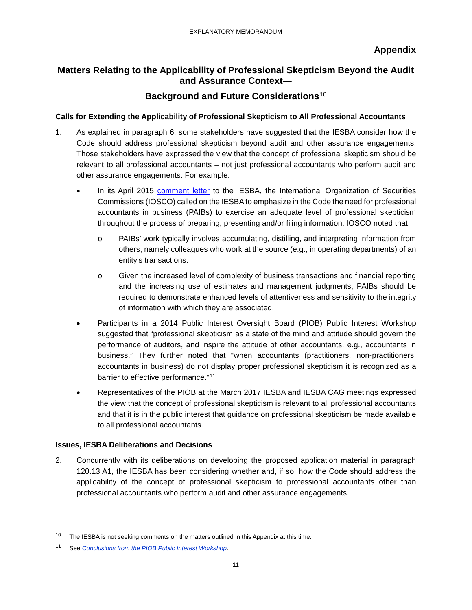## <span id="page-10-0"></span>**Matters Relating to the Applicability of Professional Skepticism Beyond the Audit and Assurance Context―**

## **Background and Future Considerations**[10](#page-10-1)

### **Calls for Extending the Applicability of Professional Skepticism to All Professional Accountants**

- 1. As explained in paragraph 6, some stakeholders have suggested that the IESBA consider how the Code should address professional skepticism beyond audit and other assurance engagements. Those stakeholders have expressed the view that the concept of professional skepticism should be relevant to all professional accountants – not just professional accountants who perform audit and other assurance engagements. For example:
	- In its April 2015 [comment letter](http://www.ifac.org/system/files/publications/exposure-drafts/comments/41.IOSCO.pdf) to the IESBA, the International Organization of Securities Commissions (IOSCO) called on the IESBA to emphasize in the Code the need for professional accountants in business (PAIBs) to exercise an adequate level of professional skepticism throughout the process of preparing, presenting and/or filing information. IOSCO noted that:
		- o PAIBs' work typically involves accumulating, distilling, and interpreting information from others, namely colleagues who work at the source (e.g., in operating departments) of an entity's transactions.
		- o Given the increased level of complexity of business transactions and financial reporting and the increasing use of estimates and management judgments, PAIBs should be required to demonstrate enhanced levels of attentiveness and sensitivity to the integrity of information with which they are associated.
	- Participants in a 2014 Public Interest Oversight Board (PIOB) Public Interest Workshop suggested that "professional skepticism as a state of the mind and attitude should govern the performance of auditors, and inspire the attitude of other accountants, e.g., accountants in business." They further noted that "when accountants (practitioners, non-practitioners, accountants in business) do not display proper professional skepticism it is recognized as a barrier to effective performance."<sup>[11](#page-10-2)</sup>
	- Representatives of the PIOB at the March 2017 IESBA and IESBA CAG meetings expressed the view that the concept of professional skepticism is relevant to all professional accountants and that it is in the public interest that guidance on professional skepticism be made available to all professional accountants.

#### **Issues, IESBA Deliberations and Decisions**

2. Concurrently with its deliberations on developing the proposed application material in paragraph 120.13 A1, the IESBA has been considering whether and, if so, how the Code should address the applicability of the concept of professional skepticism to professional accountants other than professional accountants who perform audit and other assurance engagements.

<span id="page-10-1"></span><sup>&</sup>lt;sup>10</sup> The IESBA is not seeking comments on the matters outlined in this Appendix at this time.

<span id="page-10-2"></span><sup>11</sup> See *[Conclusions from the PIOB Public Interest Workshop](http://www.ifac.org/system/files/meetings/files/Agenda%20Item%201-C%20-%20PIOB%20Sept%202014%20Public%20Interest%20Workshop%20Conclusions.pdf)*.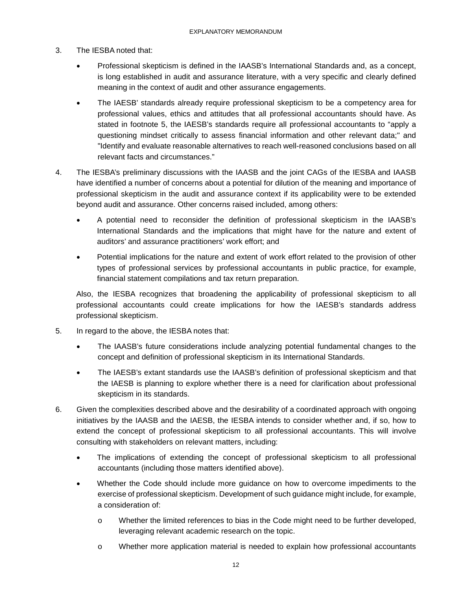- 3. The IESBA noted that:
	- Professional skepticism is defined in the IAASB's International Standards and, as a concept, is long established in audit and assurance literature, with a very specific and clearly defined meaning in the context of audit and other assurance engagements.
	- The IAESB' standards already require professional skepticism to be a competency area for professional values, ethics and attitudes that all professional accountants should have. As stated in footnote 5, the IAESB's standards require all professional accountants to "apply a questioning mindset critically to assess financial information and other relevant data;" and "Identify and evaluate reasonable alternatives to reach well-reasoned conclusions based on all relevant facts and circumstances."
- 4. The IESBA's preliminary discussions with the IAASB and the joint CAGs of the IESBA and IAASB have identified a number of concerns about a potential for dilution of the meaning and importance of professional skepticism in the audit and assurance context if its applicability were to be extended beyond audit and assurance. Other concerns raised included, among others:
	- A potential need to reconsider the definition of professional skepticism in the IAASB's International Standards and the implications that might have for the nature and extent of auditors' and assurance practitioners' work effort; and
	- Potential implications for the nature and extent of work effort related to the provision of other types of professional services by professional accountants in public practice, for example, financial statement compilations and tax return preparation.

Also, the IESBA recognizes that broadening the applicability of professional skepticism to all professional accountants could create implications for how the IAESB's standards address professional skepticism.

- 5. In regard to the above, the IESBA notes that:
	- The IAASB's future considerations include analyzing potential fundamental changes to the concept and definition of professional skepticism in its International Standards.
	- The IAESB's extant standards use the IAASB's definition of professional skepticism and that the IAESB is planning to explore whether there is a need for clarification about professional skepticism in its standards.
- 6. Given the complexities described above and the desirability of a coordinated approach with ongoing initiatives by the IAASB and the IAESB, the IESBA intends to consider whether and, if so, how to extend the concept of professional skepticism to all professional accountants. This will involve consulting with stakeholders on relevant matters, including:
	- The implications of extending the concept of professional skepticism to all professional accountants (including those matters identified above).
	- Whether the Code should include more guidance on how to overcome impediments to the exercise of professional skepticism. Development of such guidance might include, for example, a consideration of:
		- o Whether the limited references to bias in the Code might need to be further developed, leveraging relevant academic research on the topic.
		- o Whether more application material is needed to explain how professional accountants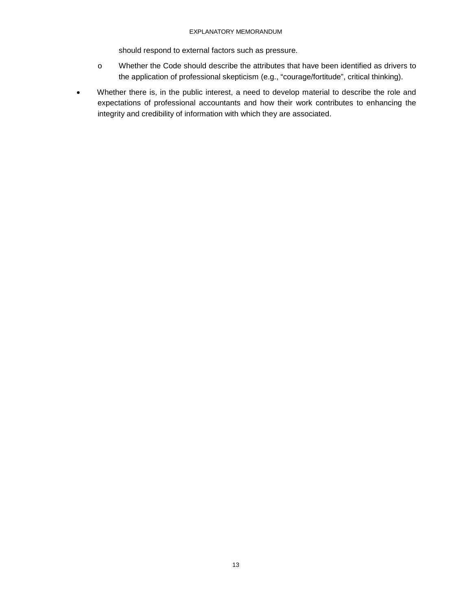#### EXPLANATORY MEMORANDUM

should respond to external factors such as pressure.

- o Whether the Code should describe the attributes that have been identified as drivers to the application of professional skepticism (e.g., "courage/fortitude", critical thinking).
- Whether there is, in the public interest, a need to develop material to describe the role and expectations of professional accountants and how their work contributes to enhancing the integrity and credibility of information with which they are associated.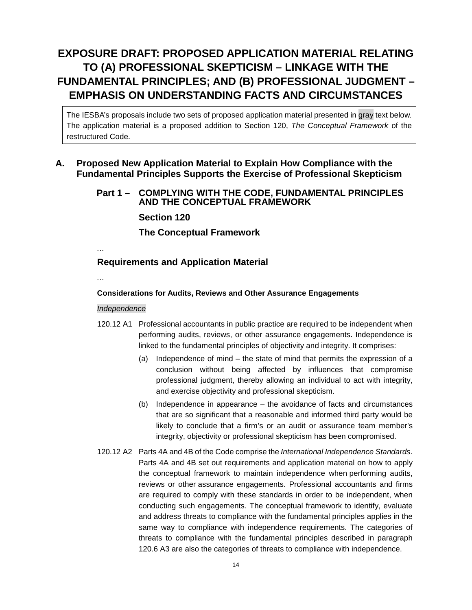# <span id="page-13-0"></span>**EXPOSURE DRAFT: PROPOSED APPLICATION MATERIAL RELATING TO (A) PROFESSIONAL SKEPTICISM – LINKAGE WITH THE FUNDAMENTAL PRINCIPLES; AND (B) PROFESSIONAL JUDGMENT – EMPHASIS ON UNDERSTANDING FACTS AND CIRCUMSTANCES**

The IESBA's proposals include two sets of proposed application material presented in gray text below. The application material is a proposed addition to Section 120, *The Conceptual Framework* of the restructured Code.

## **A. Proposed New Application Material to Explain How Compliance with the Fundamental Principles Supports the Exercise of Professional Skepticism**

### **Part 1 – COMPLYING WITH THE CODE, FUNDAMENTAL PRINCIPLES AND THE CONCEPTUAL FRAMEWORK**

**Section 120**

**The Conceptual Framework**

…

## **Requirements and Application Material**

…

### **Considerations for Audits, Reviews and Other Assurance Engagements**

### *Independence*

- 120.12 A1 Professional accountants in public practice are required to be independent when performing audits, reviews, or other assurance engagements. Independence is linked to the fundamental principles of objectivity and integrity. It comprises:
	- (a) Independence of mind the state of mind that permits the expression of a conclusion without being affected by influences that compromise professional judgment, thereby allowing an individual to act with integrity, and exercise objectivity and professional skepticism.
	- (b) Independence in appearance the avoidance of facts and circumstances that are so significant that a reasonable and informed third party would be likely to conclude that a firm's or an audit or assurance team member's integrity, objectivity or professional skepticism has been compromised.
- 120.12 A2 Parts 4A and 4B of the Code comprise the *International Independence Standards*. Parts 4A and 4B set out requirements and application material on how to apply the conceptual framework to maintain independence when performing audits, reviews or other assurance engagements. Professional accountants and firms are required to comply with these standards in order to be independent, when conducting such engagements. The conceptual framework to identify, evaluate and address threats to compliance with the fundamental principles applies in the same way to compliance with independence requirements. The categories of threats to compliance with the fundamental principles described in paragraph 120.6 A3 are also the categories of threats to compliance with independence.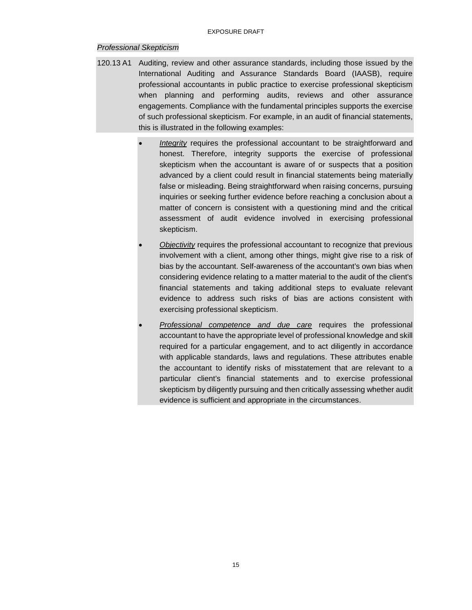#### *Professional Skepticism*

- 120.13 A1 Auditing, review and other assurance standards, including those issued by the International Auditing and Assurance Standards Board (IAASB), require professional accountants in public practice to exercise professional skepticism when planning and performing audits, reviews and other assurance engagements. Compliance with the fundamental principles supports the exercise of such professional skepticism. For example, in an audit of financial statements, this is illustrated in the following examples:
	- **Integrity** requires the professional accountant to be straightforward and honest. Therefore, integrity supports the exercise of professional skepticism when the accountant is aware of or suspects that a position advanced by a client could result in financial statements being materially false or misleading. Being straightforward when raising concerns, pursuing inquiries or seeking further evidence before reaching a conclusion about a matter of concern is consistent with a questioning mind and the critical assessment of audit evidence involved in exercising professional skepticism.
	- *Objectivity* requires the professional accountant to recognize that previous involvement with a client, among other things, might give rise to a risk of bias by the accountant. Self-awareness of the accountant's own bias when considering evidence relating to a matter material to the audit of the client's financial statements and taking additional steps to evaluate relevant evidence to address such risks of bias are actions consistent with exercising professional skepticism.
	- *Professional competence and due care* requires the professional accountant to have the appropriate level of professional knowledge and skill required for a particular engagement, and to act diligently in accordance with applicable standards, laws and regulations. These attributes enable the accountant to identify risks of misstatement that are relevant to a particular client's financial statements and to exercise professional skepticism by diligently pursuing and then critically assessing whether audit evidence is sufficient and appropriate in the circumstances.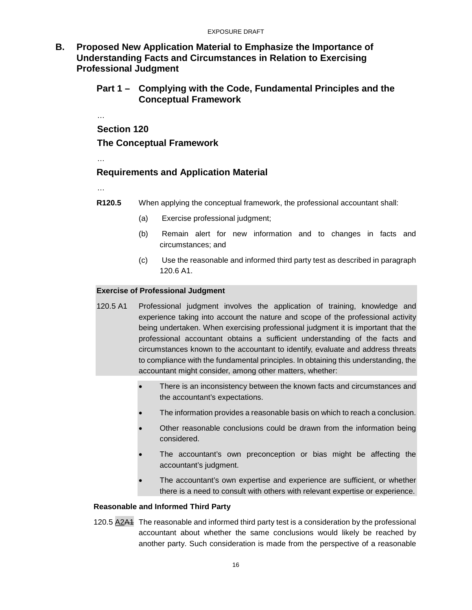**B. Proposed New Application Material to Emphasize the Importance of Understanding Facts and Circumstances in Relation to Exercising Professional Judgment**

### **Part 1 – Complying with the Code, Fundamental Principles and the Conceptual Framework**

… **Section 120 The Conceptual Framework** 

…

### **Requirements and Application Material**

…

**R120.5** When applying the conceptual framework, the professional accountant shall:

- (a) Exercise professional judgment;
- (b) Remain alert for new information and to changes in facts and circumstances; and
- (c) Use the reasonable and informed third party test as described in paragraph 120.6 A1.

#### **Exercise of Professional Judgment**

- 120.5 A1 Professional judgment involves the application of training, knowledge and experience taking into account the nature and scope of the professional activity being undertaken. When exercising professional judgment it is important that the professional accountant obtains a sufficient understanding of the facts and circumstances known to the accountant to identify, evaluate and address threats to compliance with the fundamental principles. In obtaining this understanding, the accountant might consider, among other matters, whether:
	- There is an inconsistency between the known facts and circumstances and the accountant's expectations.
	- The information provides a reasonable basis on which to reach a conclusion.
	- Other reasonable conclusions could be drawn from the information being considered.
	- The accountant's own preconception or bias might be affecting the accountant's judgment.
	- The accountant's own expertise and experience are sufficient, or whether there is a need to consult with others with relevant expertise or experience.

#### **Reasonable and Informed Third Party**

120.5 A2A1 The reasonable and informed third party test is a consideration by the professional accountant about whether the same conclusions would likely be reached by another party. Such consideration is made from the perspective of a reasonable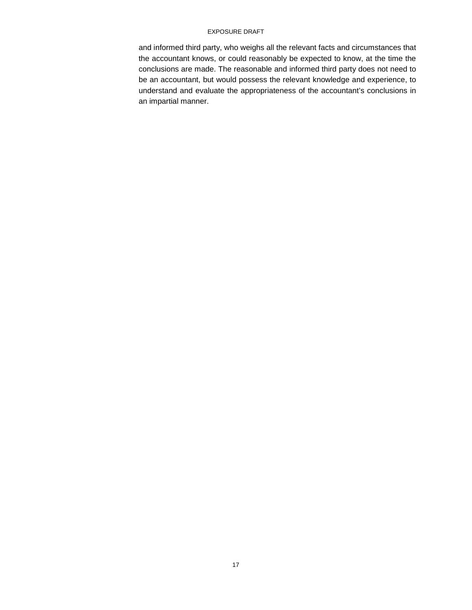#### EXPOSURE DRAFT

and informed third party, who weighs all the relevant facts and circumstances that the accountant knows, or could reasonably be expected to know, at the time the conclusions are made. The reasonable and informed third party does not need to be an accountant, but would possess the relevant knowledge and experience, to understand and evaluate the appropriateness of the accountant's conclusions in an impartial manner.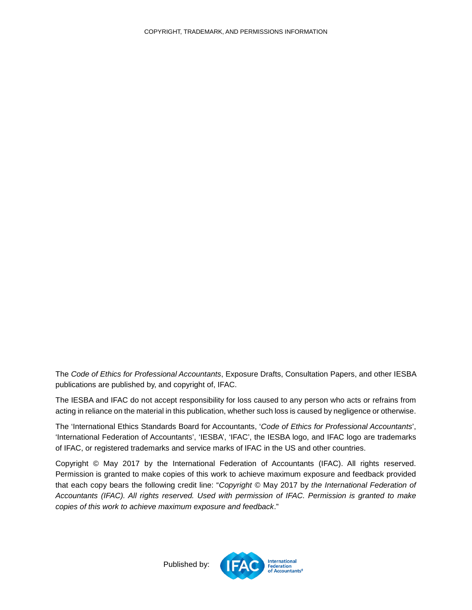The *Code of Ethics for Professional Accountants*, Exposure Drafts, Consultation Papers, and other IESBA publications are published by, and copyright of, IFAC.

The IESBA and IFAC do not accept responsibility for loss caused to any person who acts or refrains from acting in reliance on the material in this publication, whether such loss is caused by negligence or otherwise.

The 'International Ethics Standards Board for Accountants, '*Code of Ethics for Professional Accountants*', 'International Federation of Accountants', 'IESBA', 'IFAC', the IESBA logo, and IFAC logo are trademarks of IFAC, or registered trademarks and service marks of IFAC in the US and other countries.

<span id="page-17-0"></span>Copyright © May 2017 by the International Federation of Accountants (IFAC). All rights reserved. Permission is granted to make copies of this work to achieve maximum exposure and feedback provided that each copy bears the following credit line: "*Copyright ©* May 2017 by *the International Federation of Accountants (IFAC). All rights reserved. Used with permission of IFAC. Permission is granted to make copies of this work to achieve maximum exposure and feedback*."